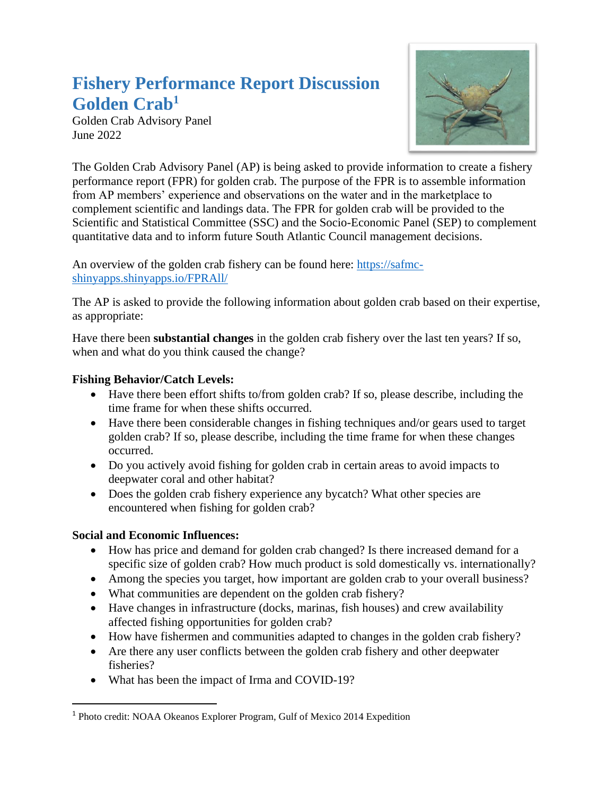# **Fishery Performance Report Discussion Golden Crab<sup>1</sup>**

Golden Crab Advisory Panel June 2022



The Golden Crab Advisory Panel (AP) is being asked to provide information to create a fishery performance report (FPR) for golden crab. The purpose of the FPR is to assemble information from AP members' experience and observations on the water and in the marketplace to complement scientific and landings data. The FPR for golden crab will be provided to the Scientific and Statistical Committee (SSC) and the Socio-Economic Panel (SEP) to complement quantitative data and to inform future South Atlantic Council management decisions.

An overview of the golden crab fishery can be found here: [https://safmc](https://safmc-shinyapps.shinyapps.io/FPRAll/)[shinyapps.shinyapps.io/FPRAll/](https://safmc-shinyapps.shinyapps.io/FPRAll/)

The AP is asked to provide the following information about golden crab based on their expertise, as appropriate:

Have there been **substantial changes** in the golden crab fishery over the last ten years? If so, when and what do you think caused the change?

## **Fishing Behavior/Catch Levels:**

- Have there been effort shifts to/from golden crab? If so, please describe, including the time frame for when these shifts occurred.
- Have there been considerable changes in fishing techniques and/or gears used to target golden crab? If so, please describe, including the time frame for when these changes occurred.
- Do you actively avoid fishing for golden crab in certain areas to avoid impacts to deepwater coral and other habitat?
- Does the golden crab fishery experience any bycatch? What other species are encountered when fishing for golden crab?

## **Social and Economic Influences:**

- How has price and demand for golden crab changed? Is there increased demand for a specific size of golden crab? How much product is sold domestically vs. internationally?
- Among the species you target, how important are golden crab to your overall business?
- What communities are dependent on the golden crab fishery?
- Have changes in infrastructure (docks, marinas, fish houses) and crew availability affected fishing opportunities for golden crab?
- How have fishermen and communities adapted to changes in the golden crab fishery?
- Are there any user conflicts between the golden crab fishery and other deepwater fisheries?
- What has been the impact of Irma and COVID-19?

<sup>1</sup> Photo credit: NOAA Okeanos Explorer Program, Gulf of Mexico 2014 Expedition